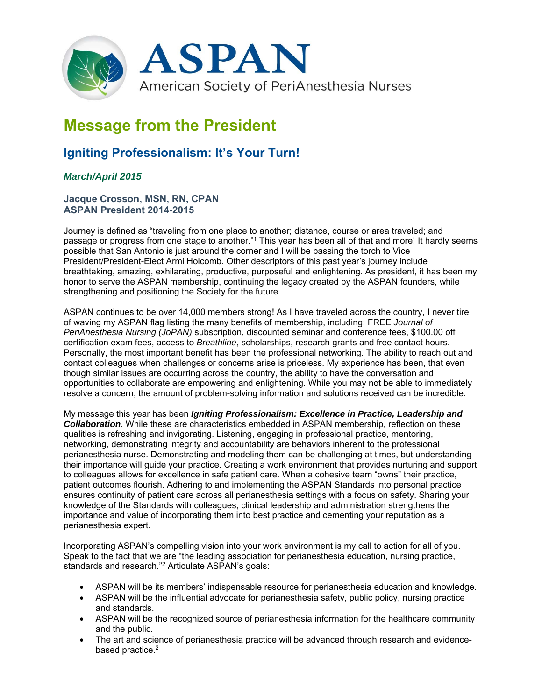

# **Message from the President**

# **Igniting Professionalism: It's Your Turn!**

## *March/April 2015*

### **Jacque Crosson, MSN, RN, CPAN ASPAN President 2014-2015**

Journey is defined as "traveling from one place to another; distance, course or area traveled; and passage or progress from one stage to another."1 This year has been all of that and more! It hardly seems possible that San Antonio is just around the corner and I will be passing the torch to Vice President/President-Elect Armi Holcomb. Other descriptors of this past year's journey include breathtaking, amazing, exhilarating, productive, purposeful and enlightening. As president, it has been my honor to serve the ASPAN membership, continuing the legacy created by the ASPAN founders, while strengthening and positioning the Society for the future.

ASPAN continues to be over 14,000 members strong! As I have traveled across the country, I never tire of waving my ASPAN flag listing the many benefits of membership, including: FREE *Journal of PeriAnesthesia Nursing (JoPAN)* subscription, discounted seminar and conference fees, \$100.00 off certification exam fees, access to *Breathline*, scholarships, research grants and free contact hours. Personally, the most important benefit has been the professional networking. The ability to reach out and contact colleagues when challenges or concerns arise is priceless. My experience has been, that even though similar issues are occurring across the country, the ability to have the conversation and opportunities to collaborate are empowering and enlightening. While you may not be able to immediately resolve a concern, the amount of problem-solving information and solutions received can be incredible.

My message this year has been *Igniting Professionalism: Excellence in Practice, Leadership and Collaboration*. While these are characteristics embedded in ASPAN membership, reflection on these qualities is refreshing and invigorating. Listening, engaging in professional practice, mentoring, networking, demonstrating integrity and accountability are behaviors inherent to the professional perianesthesia nurse. Demonstrating and modeling them can be challenging at times, but understanding their importance will guide your practice. Creating a work environment that provides nurturing and support to colleagues allows for excellence in safe patient care. When a cohesive team "owns" their practice, patient outcomes flourish. Adhering to and implementing the ASPAN Standards into personal practice ensures continuity of patient care across all perianesthesia settings with a focus on safety. Sharing your knowledge of the Standards with colleagues, clinical leadership and administration strengthens the importance and value of incorporating them into best practice and cementing your reputation as a perianesthesia expert.

Incorporating ASPAN's compelling vision into your work environment is my call to action for all of you. Speak to the fact that we are "the leading association for perianesthesia education, nursing practice, standards and research."2 Articulate ASPAN's goals:

- ASPAN will be its members' indispensable resource for perianesthesia education and knowledge.
- ASPAN will be the influential advocate for perianesthesia safety, public policy, nursing practice and standards.
- ASPAN will be the recognized source of perianesthesia information for the healthcare community and the public.
- The art and science of perianesthesia practice will be advanced through research and evidencebased practice.<sup>2</sup>